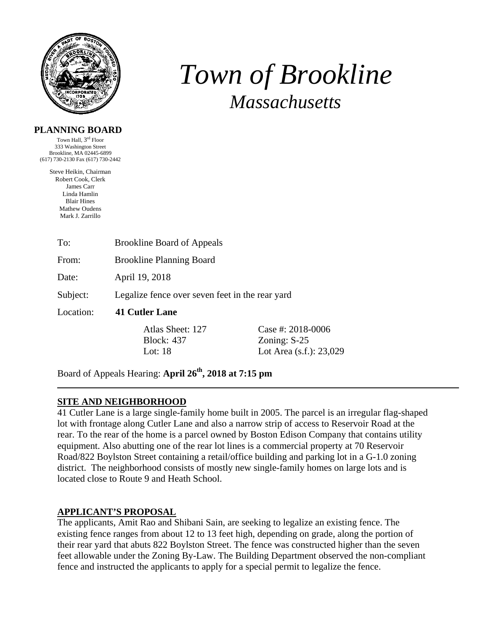

# *Town of Brookline Massachusetts*

#### **PLANNING BOARD**

Town Hall, 3rd Floor 333 Washington Street Brookline, MA 02445-6899 (617) 730-2130 Fax (617) 730-2442

> Steve Heikin, Chairman Robert Cook, Clerk James Carr Linda Hamlin Blair Hines Mathew Oudens Mark J. Zarrillo

| To:       | <b>Brookline Board of Appeals</b>                                  |                                                                  |  |
|-----------|--------------------------------------------------------------------|------------------------------------------------------------------|--|
| From:     | <b>Brookline Planning Board</b>                                    |                                                                  |  |
| Date:     | April 19, 2018                                                     |                                                                  |  |
| Subject:  | Legalize fence over seven feet in the rear yard                    |                                                                  |  |
| Location: | 41 Cutler Lane                                                     |                                                                  |  |
|           | Atlas Sheet: 127<br><b>Block: 437</b><br>Lot: $18$                 | Case #: $2018-0006$<br>Zoning: $S-25$<br>Lot Area (s.f.): 23,029 |  |
|           | Board of Appeals Hearing: April 26 <sup>th</sup> , 2018 at 7:15 pm |                                                                  |  |

#### **SITE AND NEIGHBORHOOD**

41 Cutler Lane is a large single-family home built in 2005. The parcel is an irregular flag-shaped lot with frontage along Cutler Lane and also a narrow strip of access to Reservoir Road at the rear. To the rear of the home is a parcel owned by Boston Edison Company that contains utility equipment. Also abutting one of the rear lot lines is a commercial property at 70 Reservoir Road/822 Boylston Street containing a retail/office building and parking lot in a G-1.0 zoning district. The neighborhood consists of mostly new single-family homes on large lots and is located close to Route 9 and Heath School.

#### **APPLICANT'S PROPOSAL**

The applicants, Amit Rao and Shibani Sain, are seeking to legalize an existing fence. The existing fence ranges from about 12 to 13 feet high, depending on grade, along the portion of their rear yard that abuts 822 Boylston Street. The fence was constructed higher than the seven feet allowable under the Zoning By-Law. The Building Department observed the non-compliant fence and instructed the applicants to apply for a special permit to legalize the fence.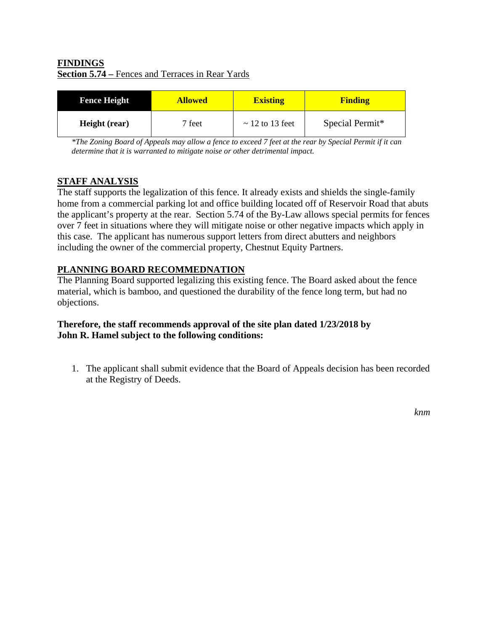## **FINDINGS Section 5.74 –** Fences and Terraces in Rear Yards

| <b>Fence Height</b> | <b>Allowed</b> | <b>Existing</b>      | <b>Finding</b>  |
|---------------------|----------------|----------------------|-----------------|
| Height (rear)       | 7 feet         | $\sim$ 12 to 13 feet | Special Permit* |

*\*The Zoning Board of Appeals may allow a fence to exceed 7 feet at the rear by Special Permit if it can determine that it is warranted to mitigate noise or other detrimental impact.* 

## **STAFF ANALYSIS**

The staff supports the legalization of this fence. It already exists and shields the single-family home from a commercial parking lot and office building located off of Reservoir Road that abuts the applicant's property at the rear. Section 5.74 of the By-Law allows special permits for fences over 7 feet in situations where they will mitigate noise or other negative impacts which apply in this case. The applicant has numerous support letters from direct abutters and neighbors including the owner of the commercial property, Chestnut Equity Partners.

# **PLANNING BOARD RECOMMEDNATION**

The Planning Board supported legalizing this existing fence. The Board asked about the fence material, which is bamboo, and questioned the durability of the fence long term, but had no objections.

### **Therefore, the staff recommends approval of the site plan dated 1/23/2018 by John R. Hamel subject to the following conditions:**

1. The applicant shall submit evidence that the Board of Appeals decision has been recorded at the Registry of Deeds.

*knm*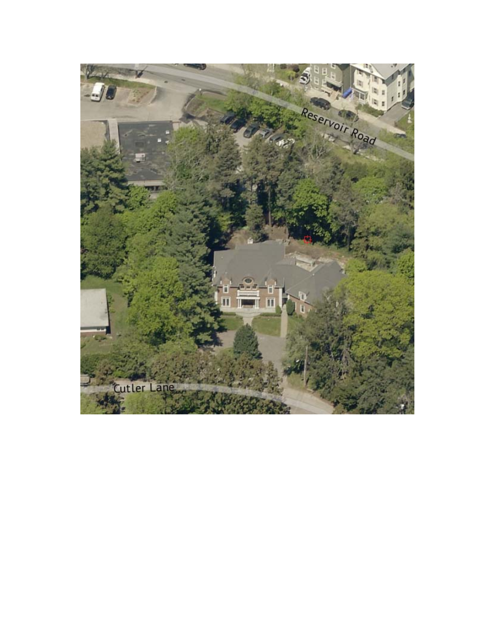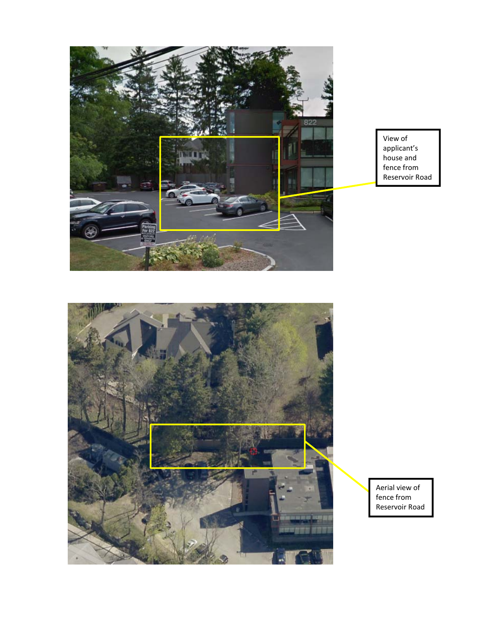

View of applicant's house and fence from Reservoir Road



Aerial view of fence from Reservoir Road